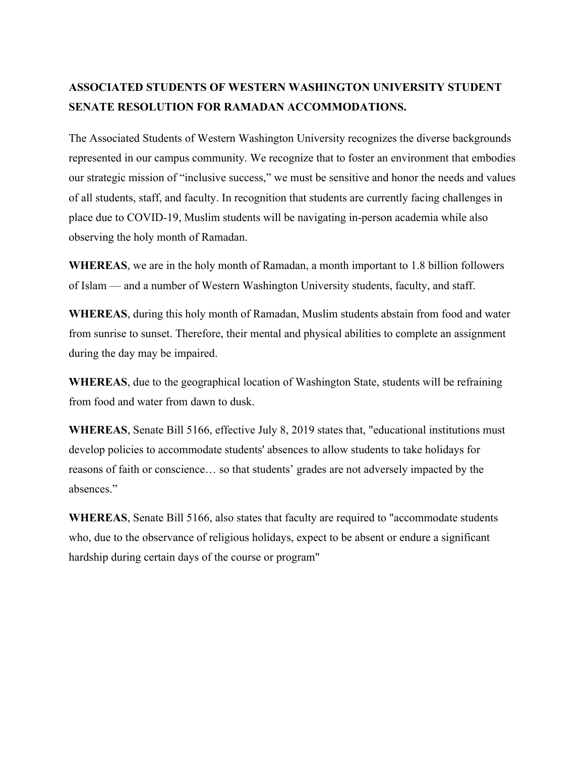## **ASSOCIATED STUDENTS OF WESTERN WASHINGTON UNIVERSITY STUDENT SENATE RESOLUTION FOR RAMADAN ACCOMMODATIONS.**

The Associated Students of Western Washington University recognizes the diverse backgrounds represented in our campus community. We recognize that to foster an environment that embodies our strategic mission of "inclusive success," we must be sensitive and honor the needs and values of all students, staff, and faculty. In recognition that students are currently facing challenges in place due to COVID-19, Muslim students will be navigating in-person academia while also observing the holy month of Ramadan.

**WHEREAS**, we are in the holy month of Ramadan, a month important to 1.8 billion followers of Islam — and a number of Western Washington University students, faculty, and staff.

**WHEREAS**, during this holy month of Ramadan, Muslim students abstain from food and water from sunrise to sunset. Therefore, their mental and physical abilities to complete an assignment during the day may be impaired.

**WHEREAS**, due to the geographical location of Washington State, students will be refraining from food and water from dawn to dusk.

**WHEREAS**, Senate Bill 5166, effective July 8, 2019 states that, "educational institutions must develop policies to accommodate students' absences to allow students to take holidays for reasons of faith or conscience… so that students' grades are not adversely impacted by the absences."

**WHEREAS**, Senate Bill 5166, also states that faculty are required to "accommodate students who, due to the observance of religious holidays, expect to be absent or endure a significant hardship during certain days of the course or program"